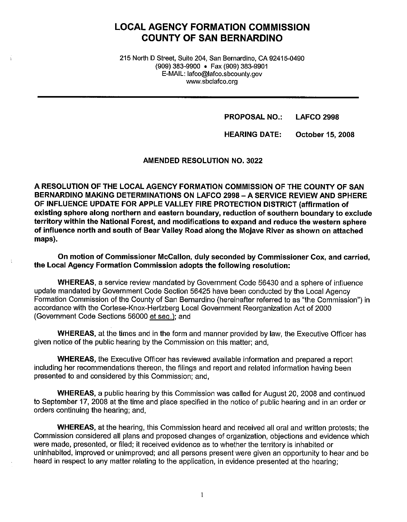## **LOCAL AGENCY FORMATION COMMISSION COUNTY OF SAN BERNARDINO**

215 North D Street, Suite 204, San Bernardino, CA 92415-0490 (909) 383-9900 • Fax (909) 383-9901 E-MAIL: lafco@lafco.sbcounty.gov www.sbclafco.org

> **PROPOSAL NO.: LAFCO 2998**

**HEARING DATE: October 15, 2008** 

**AMENDED RESOLUTION NO. 3022** 

**A RESOLUTION OF THE LOCAL AGENCY FORMATION COMMISSION OF THE COUNTY OF SAN BERNARDINO MAKING DETERMINATIONS ON LAFCO 2998 -A SERVICE REVIEW AND SPHERE OF INFLUENCE UPDATE FOR APPLE VALLEY FIRE PROTECTION DISTRICT (affirmation of existing sphere along northern and eastern boundary, reduction of southern boundary to exclude territory within the National Forest, and modifications to expand and reduce the western sphere of influence north and south of Bear Valley Road along the Mojave River as shown on attached maps).** 

**On motion of Commissioner McCallon, duly seconded by Commissioner Cox, and carried, the Local Agency Formation Commission adopts the following resolution:** 

**WHEREAS,** a service review mandated by Government Code 56430 and a sphere of influence update mandated by Government Code Section 56425 have been conducted by the Local Agency Formation Commission of the County of San Bernardino {hereinafter referred to as "the Commission") in accordance with the Cortese-Knox-Hertzberg Local Government Reorganization Act of 2000 (Government Code Sections 56000 et seq.); and

**WHEREAS,** at the times and in the form and manner provided by law, the Executive Officer has given notice of the public hearing by the Commission on this matter; and,

**WHEREAS,** the Executive Officer has reviewed available information and prepared a report including her recommendations thereon, the filings and report and related information having been presented to and considered by this Commission; and,

**WHEREAS,** a public hearing by this Commission was called for August 20, 2008 and continued to September 17, 2008 at the time and place specified in the notice of public hearing and in an order or orders continuing the hearing; and,

**WHEREAS,** at the hearing, this Commission heard and received all oral and written protests; the Commission considered all plans and proposed changes of organization, objections and evidence which were made, presented, or filed; **it** received evidence as to whether the territory is inhabited or uninhabited, improved or unimproved; and all persons present were given an opportunity to hear and be heard in respect to any matter relating to the application, in evidence presented at the hearing;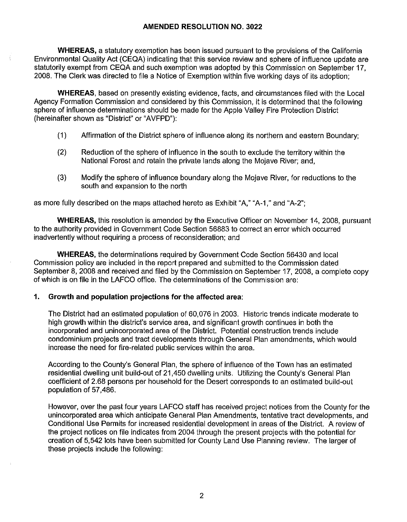**WHEREAS,** a statutory exemption has been issued pursuant to the provisions of the California Environmental Quality Act (CEQA) indicating that this service review and sphere of influence update are statutorily exempt from CEQA and such exemption was adopted by this Commission on September 17, 2008. The Clerk was directed to file a Notice of Exemption within five working days of its adoption;

**WHEREAS,** based on presently existing evidence, facts, and circumstances filed with the Local Agency Formation Commission and considered by this Commission, it is determined that the following sphere of influence determinations should be made for the Apple Valley Fire Protection District (hereinafter shown as "District" or "AVFPD"):

- (1) Affirmation of the District sphere of influence along its northern and eastern Boundary;
- (2) Reduction of the sphere of influence in the south to exclude the territory within the National Forest and retain the private lands along the Mojave River; and,
- (3) Modify the sphere of influence boundary along the Mojave River, for reductions to the south and expansion to the north

as more fully described on the maps attached hereto as Exhibit "A," "A-1," and "A-2";

**WHEREAS,** this resolution is amended by the Executive Officer on November 14, 2008, pursuant to the authority provided in Government Code Section 56883 to correct an error which occurred inadvertently without requiring a process of reconsideration; and

**WHEREAS,** the determinations required by Government Code Section 56430 and local Commission policy are included in the report prepared and submitted to the Commission dated September 8, 2008 and received and filed by the Commission on September 17, 2008, a complete copy of which is on file in the LAFCO office. The determinations of the Commission are:

#### **1. Growth and population projections for the affected area:**

The District had an estimated population of 60,076 in 2003. Historic trends indicate moderate to high growth within the district's service area, and significant growth continues in both the incorporated and unincorporated area of the District. Potential construction trends include condominium projects and tract developments through General Plan amendments, which would increase the need for fire-related public services within the area.

According to the County's General Plan, the sphere of influence of the Town has an estimated residential dwelling unit build-out of 21,450 dwelling units. Utilizing the County's General Plan coefficient of 2.68 persons per household for the Desert corresponds to an estimated build-out population of 57,486.

However, over the past four years LAFCO staff has received project notices from the County for the unincorporated area which anticipate General Plan Amendments, tentative tract developments, and Conditional Use Permits for increased residential development in areas of the District. A review of the project notices on file indicates from 2004 through the present projects with the potential for creation of 5,542 lots have been submitted for County Land Use Planning review. The larger of these projects include the following: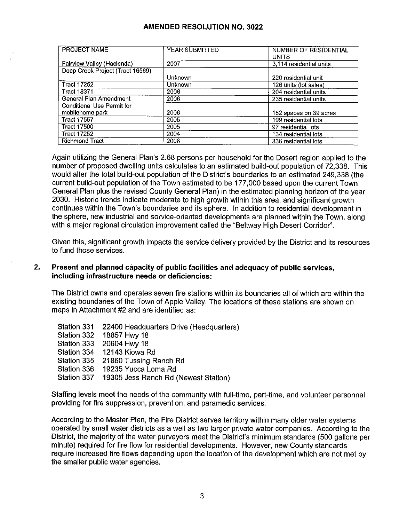| <b>PROJECT NAME</b>              | YEAR SUBMITTED | NUMBER OF RESIDENTIAL<br><b>UNITS</b> |
|----------------------------------|----------------|---------------------------------------|
| Fairview Valley (Hacienda)       | 2007           | 3,114 residential units               |
| Deep Creek Project (Tract 16569) |                |                                       |
|                                  | <b>Unknown</b> | 220 residential unit                  |
| <b>Tract 17252</b>               | Unknown        | 126 units (lot sales)                 |
| <b>Tract 18371</b>               | 2006           | 204 residential units                 |
| General Plan Amendment           | 2006           | 235 residential units                 |
| Conditional Use Permit for       |                |                                       |
| mobilehome park                  | 2006           | 152 spaces on 39 acres                |
| <b>Tract 17557</b>               | 2005           | 199 residential lots                  |
| <b>Tract 17500</b>               | 2005           | 97 residential lots                   |
| <b>Tract 17252</b>               | 2004           | 134 residential lots                  |
| <b>Richmond Tract</b>            | 2006           | 336 residential lots                  |

Again utilizing the General Plan's 2.68 persons per household for the Desert region applied to the number of proposed dwelling units calculates to an estimated build-out population of 72,338. This would alter the total build-out population of the District's boundaries to an estimated 249,338 (the current build-out population of the Town estimated to be 177,000 based upon the current Town General Plan plus the revised County General Plan) in the estimated planning horizon of the year 2030. Historic trends indicate moderate to high growth within this area, and significant growth continues within the Town's boundaries and its sphere. In addition to residential development in the sphere, new industrial and service-oriented developments are planned within the Town, along with a major regional circulation improvement called the "Beltway High Desert Corridor".

Given this, significant growth impacts the service delivery provided by the District and its resources to fund those services.

#### **2. Present and planned capacity of public facilities and adequacy of public services, including infrastructure needs or deficiencies:**

The District owns and operates seven fire stations within its boundaries all of which are within the existing boundaries of the Town of Apple Valley. The locations of these stations are shown on maps in Attachment #2 and are identified as:

| Station 331 | 22400 Headquarters Drive (Headquarters) |
|-------------|-----------------------------------------|
| Station 332 | 18857 Hwy 18                            |
| Station 333 | 20604 Hwy 18                            |
| Station 334 | 12143 Kiowa Rd                          |
| Station 335 | 21860 Tussing Ranch Rd                  |
| Station 336 | 19235 Yucca Loma Rd                     |
| Station 337 | 19305 Jess Ranch Rd (Newest Station)    |
|             |                                         |

Staffing levels meet the needs of the community with full-time, part-time, and volunteer personnel providing for fire suppression, prevention, and paramedic services.

According to the Master Plan, the Fire District serves territory within many older water systems operated by small water districts as a well as two larger private water companies. According to the District, the majority of the water purveyors meet the District's minimum standards (500 gallons per minute) required for fire flow for residential developments. However, new County standards require increased fire flows depending upon the location of the development which are not met by the smaller public water agencies.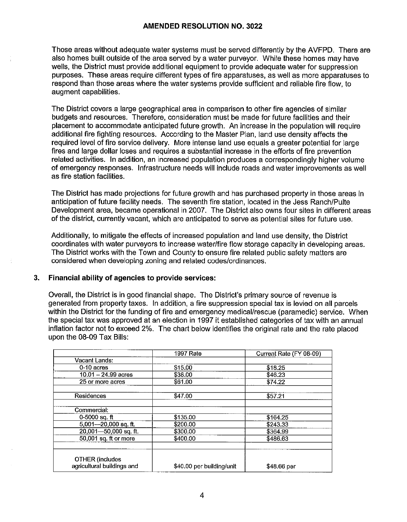Those areas without adequate water systems must be served differently by the AVFPD. There are also homes built outside of the area served by a water purveyor. While these homes may have wells, the District must provide additional equipment to provide adequate water for suppression purposes. These areas require different types of fire apparatuses, as well as more apparatuses to respond than those areas where the water systems provide sufficient and reliable fire flow, to augment capabilities.

The District covers a large geographical area in comparison to other fire agencies of similar budgets and resources. Therefore, consideration must be made for future facilities and their placement to accommodate anticipated future growth. An increase in the population will require additional fire fighting resources. According to the Master Plan, land use density affects the required level of fire service delivery. More intense land use equals a greater potential for large fires and large dollar loses and requires a substantial increase in the efforts of fire prevention related activities. In addition, an increased population produces a correspondingly higher volume of emergency responses. Infrastructure needs will include roads and water improvements as well as fire station facilities.

The District has made projections for future growth and has purchased property in those areas in anticipation of future facility needs. The seventh fire station, located in the Jess Ranch/Pulte Development area, became operational in 2007. The District also owns four sites in different areas of the district, currently vacant, which are anticipated to serve as potential sites for future use.

Additionally, to mitigate the effects of increased population and land use density, the District coordinates with water purveyors to increase water/fire flow storage capacity in developing areas. The District works with the Town and County to ensure fire related public safety matters are considered when developing zoning and related codes/ordinances.

#### **3. Financial ability of agencies to provide services:**

Overall, the District is in good financial shape. The District's primary source of revenue is generated from property taxes. In addition, a fire suppression special tax is levied on all parcels within the District for the funding of fire and emergency medical/rescue (paramedic) service. When the special tax was approved at an election in 1997 it established categories of tax with an annual inflation factor not to exceed 2%. The chart below identifies the original rate and the rate placed upon the 08-09 Tax Bills:

|                                     | 1997 Rate                 | Current Rate (FY 08-09) |
|-------------------------------------|---------------------------|-------------------------|
| Vacant Lands:                       |                           |                         |
| $0-10$ acres                        | \$15.00                   | \$18.25                 |
| $10.01 - 24.99$ acres               | \$38.00                   | \$46.23                 |
| 25 or more acres                    | \$61.00                   | \$74.22                 |
| Residences                          | \$47.00                   | \$57.21                 |
| Commercial:                         |                           |                         |
| $0-5000$ sq. ft                     | \$135.00                  | \$164.25                |
| $\overline{5,001}$ - 20,000 sq. ft. | \$200.00                  | \$243.33                |
| $20,001 - 50,000$ sq. ft.           | \$300.00                  | \$364.99                |
| 50,001 sq. ft or more               | \$400.00                  | \$486.63                |
| <b>OTHER (includes</b>              |                           |                         |
| agricultural buildings and          | \$40.00 per building/unit | \$48.66 per             |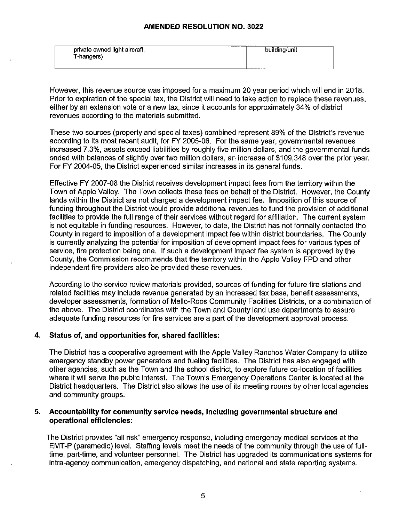| private owned light aircraft, | building/unit |
|-------------------------------|---------------|
| T-hangers)                    |               |
|                               |               |

However, this revenue source was imposed for a maximum 20 year period which will end in 2018. Prior to expiration of the special tax, the District will need to take action to replace these revenues, either by an extension vote or a new tax, since it accounts for approximately 34% of district revenues according to the materials submitted.

These two sources (property and special taxes) combined represent 89% of the District's revenue according to its most recent audit, for FY 2005-06. For the same year, governmental revenues increased 7.3%, assets exceed liabilities by roughly five million dollars, and the governmental funds ended with balances of slightly over two million dollars, an increase of \$109,348 over the prior year. For FY 2004-05, the District experienced similar increases in its general funds.

Effective FY 2007-08 the District receives development impact fees from the territory within the Town of Apple Valley. The Town collects these fees on behalf of the District. However, the County lands within the District are not charged a development impact fee. Imposition of this source of funding throughout the District would provide additional revenues to fund the provision of additional facilities to provide the full range of their services without regard for affiliation. The current system is not equitable in funding resources. However, to date, the District has not formally contacted the County in regard to imposition of a development impact fee within district boundaries. The County is currently analyzing the potential for imposition of development impact fees for various types of service, fire protection being one. If such a development impact fee system is approved by the County, the Commission recommends that the territory within the Apple Valley FPO and other independent fire providers also be provided these revenues.

According to the service review materials provided, sources of funding for future fire stations and related facilities may include revenue generated by an increased tax base, benefit assessments, developer assessments, formation of Mello-Roos Community Facilities Districts, or a combination of the above. The District coordinates with the Town and County land use departments to assure adequate funding resources for fire services are a part of the development approval process.

#### **4. Status of, and opportunities for, shared facilities:**

The District has a cooperative agreement with the Apple Valley Ranchos Water Company to utilize emergency standby power generators and fueling facilities. The District has also engaged with other agencies, such as the Town and the school district, to explore future co-location of facilities where it will serve the public interest. The Town's Emergency Operations Center is located at the District headquarters. The District also allows the use of its meeting rooms by other local agencies and community groups.

#### **5. Accountability for community service needs, including governmental structure and operational efficiencies:**

The District provides "all risk" emergency response, including emergency medical services at the EMT-P (paramedic) level. Staffing levels meet the needs of the community through the use of fulltime, part-time, and volunteer personnel. The District has upgraded its communications systems for intra-agency communication, emergency dispatching, and national and state reporting systems.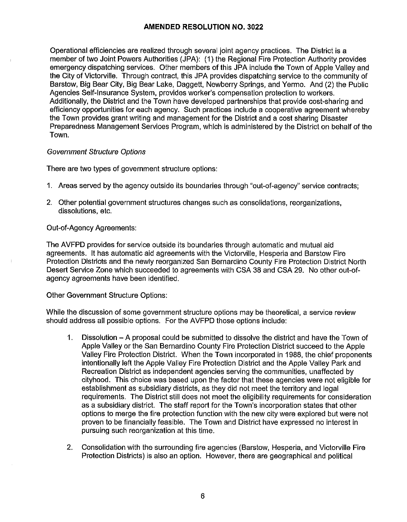Operational efficiencies are realized through several joint agency practices. The District is a member of two Joint Powers Authorities (JPA): (1) the Regional Fire Protection Authority provides emergency dispatching services. Other members of this JPA include the Town of Apple Valley and the City of Victorville. Through contract, this JPA provides dispatching service to the community of Barstow, Big Bear City, Big Bear Lake, Daggett, Newberry Springs, and Yermo. And (2) the Public Agencies Self-Insurance System, provides worker's compensation protection to workers. Additionally, the District and the Town have developed partnerships that provide cost-sharing and efficiency opportunities for each agency. Such practices include a cooperative agreement whereby the Town provides grant writing and management for the District and a cost sharing Disaster Preparedness Management Services Program, which is administered by the District on behalf of the Town.

#### Government Structure Options

There are two types of government structure options:

- 1. Areas served by the agency outside its boundaries through "out-of-agency" service contracts;
- 2. other potential government structures changes such as consolidations, reorganizations, dissolutions, etc.

#### Out-of-Agency Agreements:

The AVFPD provides for service outside its boundaries through automatic and mutual aid agreements. It has automatic aid agreements with the Victorville, Hesperia and Barstow Fire Protection Districts and the newly reorganized San Bernardino County Fire Protection District North Desert Service Zone which succeeded to agreements with CSA 38 and CSA 29. No other out-ofagency agreements have been identified.

#### Other Government Structure Options:

While the discussion of some government structure options may be theoretical, a service review should address all possible options. For the AVFPD those options include:

- 1. Dissolution A proposal could be submitted to dissolve the district and have the Town of Apple Valley or the San Bernardino County Fire Protection District succeed to the Apple Valley Fire Protection District. When the Town incorporated in 1988, the chief proponents intentionally left the Apple Valley Fire Protection District and the Apple Valley Park and Recreation District as independent agencies serving the communities, unaffected by cityhood. This choice was based upon the factor that these agencies were not eligible for establishment as subsidiary districts, as they did not meet the territory and legal requirements. The District still does not meet the eligibility requirements for consideration as a subsidiary district. The staff report for the Town's incorporation states that other options to merge the fire protection function with the new city were explored but were not proven to be financially feasible. The Town and District have expressed no interest in pursuing such reorganization at this time.
- 2. Consolidation with the surrounding fire agencies (Barstow, Hesperia, and Victorville Fire Protection Districts) is also an option. However, there are geographical and political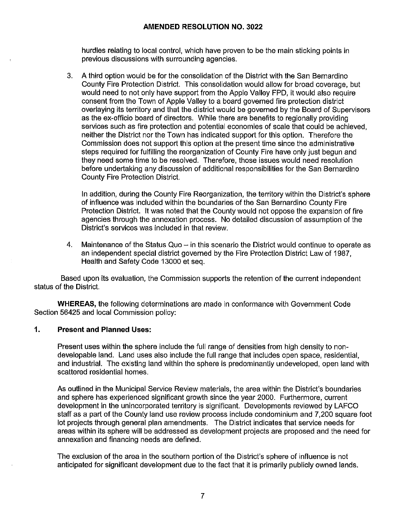hurdles relating to local control, which have proven to be the main sticking points in previous discussions with surrounding agencies.

3. A third option would be for the consolidation of the District with the San Bernardino County Fire Protection District. This consolidation would allow for broad coverage, but would need to not only have support from the Apple Valley FPD, it would also require consent from the Town of Apple Valley to a board governed fire protection district overlaying its territory and that the district would be governed by the Board of Supervisors as the ex-officio board of directors. While there are benefits to regionally providing services such as fire protection and potential economies of scale that could be achieved, neither the District nor the Town has indicated support for this option. Therefore the Commission does not support this option at the present time since the administrative steps required for fulfilling the reorganization of County Fire have only just begun and they need some time to be resolved. Therefore, those issues would need resolution before undertaking any discussion of additional responsibilities for the San Bernardino County Fire Protection District.

In addition, during the County Fire Reorganization, the territory within the District's sphere of influence was included within the boundaries of the San Bernardino County Fire Protection District. It was noted that the County would not oppose the expansion of fire agencies through the annexation process. No detailed discussion of assumption of the District's services was included in that review.

4. Maintenance of the Status Quo  $-$  in this scenario the District would continue to operate as an independent special district governed by the Fire Protection District Law of 1987, Health and Safety Code 13000 et seq.

Based upon its evaluation, the Commission supports the retention of the current independent status of the District.

**WHEREAS,** the following determinations are made in conformance with Government Code Section 56425 and local Commission policy:

#### **1. Present and Planned Uses:**

Present uses within the sphere include the full range of densities from high density to nondevelopable land. Land uses also include the full range that includes open space, residential, and industrial. The existing land within the sphere is predominantly undeveloped, open land with scattered residential homes.

As outlined in the Municipal Service Review materials, the area within the District's boundaries and sphere has experienced significant growth since the year 2000. Furthermore, current development in the unincorporated territory is significant. Developments reviewed by LAFCO staff as a part of the County land use review process include condominium and 7,200 square foot lot projects through general plan amendments. The District indicates that service needs for areas within its sphere will be addressed as development projects are proposed and the need for annexation and financing needs are defined.

The exclusion of the area in the southern portion of the District's sphere of influence is not anticipated for significant development due to the fact that it is primarily publicly owned lands.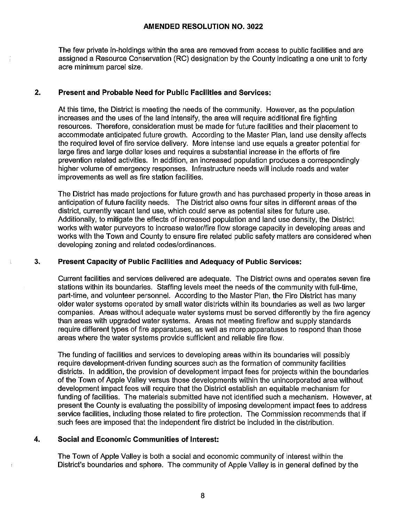The few private in-holdings within the area are removed from access to public facilities and are assigned a Resource Conservation (RC) designation by the County indicating a one unit to forty acre minimum parcel size.

#### **2. Present and Probable Need for Public Facilities and Services:**

At this time, the District is meeting the needs of the community. However, as the population increases and the uses of the land intensify, the area will require additional fire fighting resources. Therefore, consideration must be made for future facilities and their placement to accommodate anticipated future growth. According to the Master Plan, land use density affects the required level of fire service delivery. More intense land use equals a greater potential for large fires and large dollar loses and requires a substantial increase in the efforts of fire prevention related activities. In addition, an increased population produces a correspondingly higher volume of emergency responses. Infrastructure needs will include roads and water improvements as well as fire station facilities.

The District has made projections for future growth and has purchased property in those areas in anticipation of future facility needs. The District also owns four sites in different areas of the district, currently vacant land use, which could serve as potential sites for future use. Additionally, to mitigate the effects of increased population and land use density, the District works with water purveyors to increase water/fire flow storage capacity in developing areas and works with the Town and County to ensure fire related public safety matters are considered when developing zoning and related codes/ordinances.

#### **3. Present Capacity of Public Facilities and Adequacy of Public Services:**

Current facilities and services delivered are adequate. The District owns and operates seven fire stations within its boundaries. Staffing levels meet the needs of the community with full-time, part-time, and volunteer personnel. According to the Master Plan, the Fire District has many older water systems operated by small water districts within its boundaries as well as two larger companies. Areas without adequate water systems must be served differently by the fire agency than areas with upgraded water systems. Areas not meeting fireflow and supply standards require different types of fire apparatuses, as well as more apparatuses to respond than those areas where the water systems provide sufficient and reliable fire flow.

The funding of facilities and services to developing areas within its boundaries will possibly require development-driven funding sources such as the formation of community facilities districts. In addition, the provision of development impact fees for projects within the boundaries of the Town of Apple Valley versus those developments within the unincorporated area without development impact fees will require that the District establish an equitable mechanism for funding of facilities. The materials submitted have not identified such a mechanism. However, at present the County is evaluating the possibility of imposing development impact fees to address service facilities, including those related to fire protection. The Commission recommends that if such fees are imposed that the independent fire district be included in the distribution.

#### **4. Social and Economic Communities of Interest:**

The Town of Apple Valley is both a social and economic community of interest within the District's boundaries and sphere. The community of Apple Valley is in general defined by the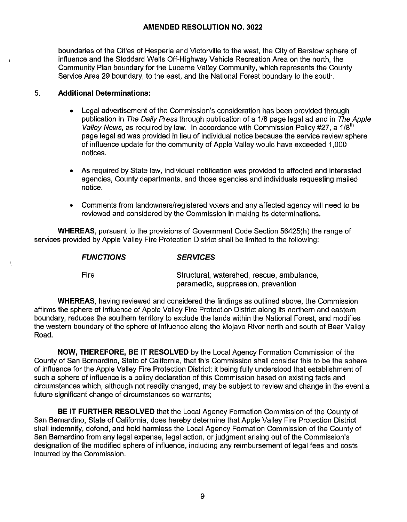boundaries of the Cities of Hesperia and Victorville to the west, the City of Barstow sphere of influence and the Stoddard Wells Off-Highway Vehicle Recreation Area on the north, the Community Plan boundary for the Lucerne Valley Community, which represents the County Service Area 29 boundary, to the east, and the National Forest boundary to the south.

#### 5. **Additional Determinations:**

- Legal advertisement of the Commission's consideration has been provided through publication in The Daily Press through publication of a 1/8 page legal ad and in The Apple Valley News, as required by law. In accordance with Commission Policy #27, a 1/8<sup>th</sup> page legal ad was provided in lieu of individual notice because the service review sphere of influence update for the community of Apple Valley would have exceeded 1,000 notices.
- As required by State law, individual notification was provided to affected and interested agencies, County departments, and those agencies and individuals requesting mailed notice.
- Comments from landowners/registered voters and any affected agency will need to be reviewed and considered by the Commission in making its determinations.

**WHEREAS,** pursuant to the provisions of Government Code Section 56425(h) the range of services provided by Apple Valley Fire Protection District shall be limited to the following:

#### **FUNCTIONS SERVICES**

Fire

ţ

Structural, watershed, rescue, ambulance, paramedic, suppression, prevention

**WHEREAS,** having reviewed and considered the findings as outlined above, the Commission affirms the sphere of influence of Apple Valley Fire Protection District along its northern and eastern boundary, reduces the southern territory to exclude the lands within the National Forest, and modifies the western boundary of the sphere of influence along the Mojave River north and south of Bear Valley Road.

**NOW, THEREFORE, BE IT RESOLVED** by the Local Agency Formation Commission of the County of San Bernardino, State of California, that this Commission shall consider this to be the sphere of influence for the Apple Valley Fire Protection District; ii being fully understood that establishment of such a sphere of influence is a policy declaration of this Commission based on existing facts and circumstances which, although not readily changed, may be subject to review and change in the event a future significant change of circumstances so warrants;

**BE IT FURTHER RESOLVED** that the Local Agency Formation Commission of the County of San Bernardino, State of California, does hereby determine that Apple Valley Fire Protection District shall indemnify, defend, and hold harmless the Local Agency Formation Commission of the County of San Bernardino from any legal expense, legal action, or judgment arising out of the Commission's designation of the modified sphere of influence, including any reimbursement of legal fees and costs incurred by the Commission.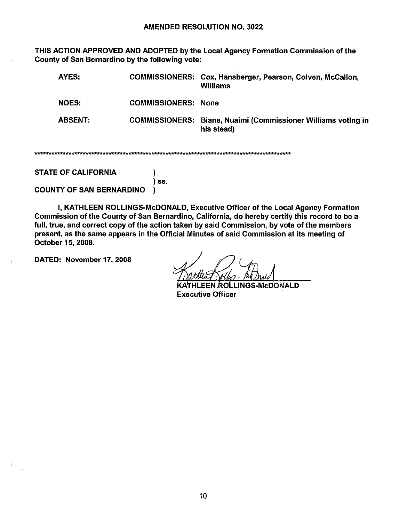THIS ACTION APPROVED AND ADOPTED by the Local Agency Formation Commission of the County of San Bernardino by the following vote:

| AYES:          | <b>COMMISSIONERS:</b> | Cox, Hansberger, Pearson, Colven, McCallon,<br>Williams      |
|----------------|-----------------------|--------------------------------------------------------------|
| <b>NOES:</b>   | <b>COMMISSIONERS:</b> | None                                                         |
| <b>ABSENT:</b> | <b>COMMISSIONERS:</b> | Biane, Nuaimi (Commissioner Williams voting in<br>his stead) |

١ ) ss.

**STATE OF CALIFORNIA** 

**COUNTY OF SAN BERNARDINO** ١.

I, KATHLEEN ROLLINGS-McDONALD, Executive Officer of the Local Agency Formation Commission of the County of San Bernardino, California, do hereby certify this record to be a full, true, and correct copy of the action taken by said Commission, by vote of the members present, as the same appears in the Official Minutes of said Commission at its meeting of October 15, 2008.

DATED: November 17, 2008

ROLLINGS-McDONALD **Executive Officer**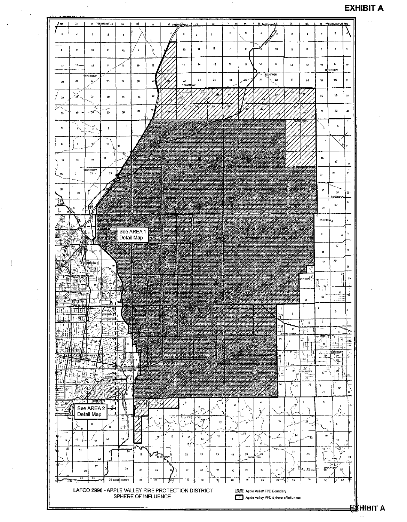### **EXHIBIT A**

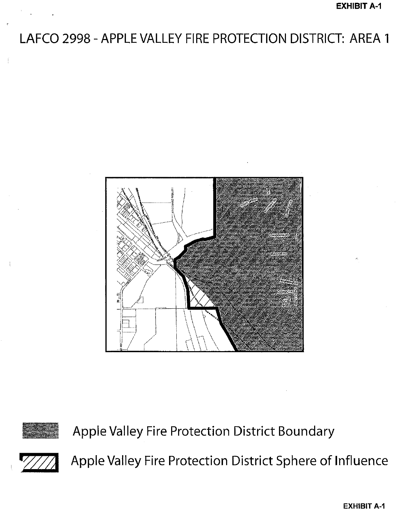# LAFCO 2998 - APPLE VALLEY FIRE PROTECTION DISTRICT: AREA 1





Apple Valley Fire Protection District Boundary



Apple Valley Fire Protection District Sphere of Influence

**EXHIBIT A-1**